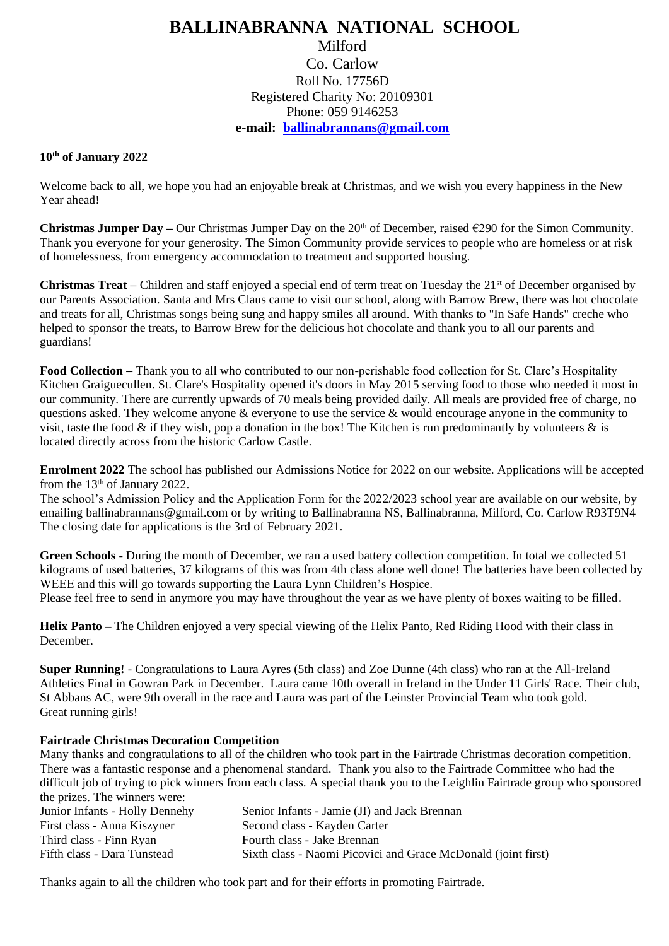## **BALLINABRANNA NATIONAL SCHOOL** Milford Co. Carlow Roll No. 17756D Registered Charity No: 20109301 Phone: 059 9146253 **e-mail: [ballinabrannans@gmail.com](mailto:ballinabrannans@gmail.com)**

## **10th of January 2022**

Welcome back to all, we hope you had an enjoyable break at Christmas, and we wish you every happiness in the New Year ahead!

**Christmas Jumper Day –** Our Christmas Jumper Day on the  $20<sup>th</sup>$  of December, raised  $€290$  for the Simon Community. Thank you everyone for your generosity. The Simon Community provide services to people who are homeless or at risk of homelessness, from emergency accommodation to treatment and supported housing.

**Christmas Treat** – Children and staff enjoyed a special end of term treat on Tuesday the 21<sup>st</sup> of December organised by our Parents Association. Santa and Mrs Claus came to visit our school, along with Barrow Brew, there was hot chocolate and treats for all, Christmas songs being sung and happy smiles all around. With thanks to "In Safe Hands" creche who helped to sponsor the treats, to Barrow Brew for the delicious hot chocolate and thank you to all our parents and guardians!

**Food Collection –** Thank you to all who contributed to our non-perishable food collection for St. Clare's Hospitality Kitchen Graiguecullen. St. Clare's Hospitality opened it's doors in May 2015 serving food to those who needed it most in our community. There are currently upwards of 70 meals being provided daily. All meals are provided free of charge, no questions asked. They welcome anyone & everyone to use the service & would encourage anyone in the community to visit, taste the food  $\&$  if they wish, pop a donation in the box! The Kitchen is run predominantly by volunteers  $\&$  is located directly across from the historic Carlow Castle.

**Enrolment 2022** The school has published our Admissions Notice for 2022 on our website. Applications will be accepted from the 13th of January 2022.

The school's Admission Policy and the Application Form for the 2022/2023 school year are available on our website, by emailing ballinabrannans@gmail.com or by writing to Ballinabranna NS, Ballinabranna, Milford, Co. Carlow R93T9N4 The closing date for applications is the 3rd of February 2021.

**Green Schools -** During the month of December, we ran a used battery collection competition. In total we collected 51 kilograms of used batteries, 37 kilograms of this was from 4th class alone well done! The batteries have been collected by WEEE and this will go towards supporting the Laura Lynn Children's Hospice. Please feel free to send in anymore you may have throughout the year as we have plenty of boxes waiting to be filled.

**Helix Panto** – The Children enjoyed a very special viewing of the Helix Panto, Red Riding Hood with their class in December.

**Super Running!** - Congratulations to Laura Ayres (5th class) and Zoe Dunne (4th class) who ran at the All-Ireland Athletics Final in Gowran Park in December. Laura came 10th overall in Ireland in the Under 11 Girls' Race. Their club, St Abbans AC, were 9th overall in the race and Laura was part of the Leinster Provincial Team who took gold. Great running girls!

## **Fairtrade Christmas Decoration Competition**

Many thanks and congratulations to all of the children who took part in the Fairtrade Christmas decoration competition. There was a fantastic response and a phenomenal standard. Thank you also to the Fairtrade Committee who had the difficult job of trying to pick winners from each class. A special thank you to the Leighlin Fairtrade group who sponsored the prizes. The winners were:

| Junior Infants - Holly Dennehy | Senior Infants - Jamie (JI) and Jack Brennan                  |
|--------------------------------|---------------------------------------------------------------|
| First class - Anna Kiszyner    | Second class - Kayden Carter                                  |
| Third class - Finn Ryan        | Fourth class - Jake Brennan                                   |
| Fifth class - Dara Tunstead    | Sixth class - Naomi Picovici and Grace McDonald (joint first) |

Thanks again to all the children who took part and for their efforts in promoting Fairtrade.